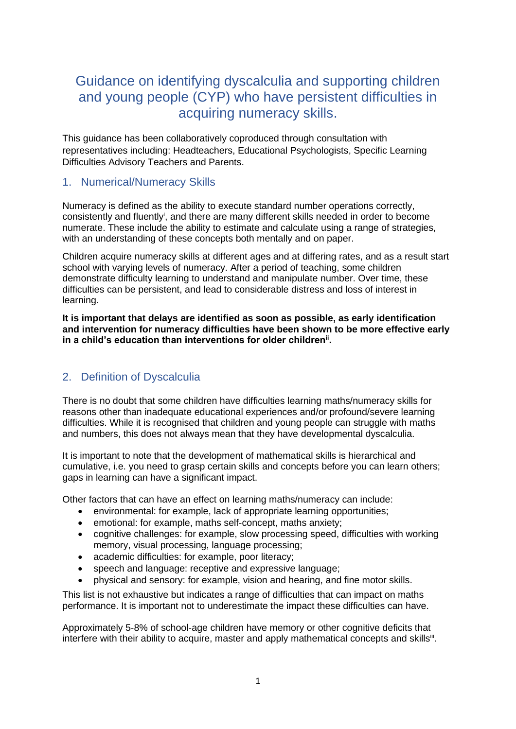# Guidance on identifying dyscalculia and supporting children and young people (CYP) who have persistent difficulties in acquiring numeracy skills.

This guidance has been collaboratively coproduced through consultation with representatives including: Headteachers, Educational Psychologists, Specific Learning Difficulties Advisory Teachers and Parents.

## 1. Numerical/Numeracy Skills

Numeracy is defined as the ability to execute standard number operations correctly, consistently and fluently<sup>i</sup>, and there are many different skills needed in order to become numerate. These include the ability to estimate and calculate using a range of strategies, with an understanding of these concepts both mentally and on paper.

Children acquire numeracy skills at different ages and at differing rates, and as a result start school with varying levels of numeracy. After a period of teaching, some children demonstrate difficulty learning to understand and manipulate number. Over time, these difficulties can be persistent, and lead to considerable distress and loss of interest in learning.

**It is important that delays are identified as soon as possible, as early identification and intervention for numeracy difficulties have been shown to be more effective early in a child's education than interventions for older childrenii .**

## 2. Definition of Dyscalculia

There is no doubt that some children have difficulties learning maths/numeracy skills for reasons other than inadequate educational experiences and/or profound/severe learning difficulties. While it is recognised that children and young people can struggle with maths and numbers, this does not always mean that they have developmental dyscalculia.

It is important to note that the development of mathematical skills is hierarchical and cumulative, i.e. you need to grasp certain skills and concepts before you can learn others; gaps in learning can have a significant impact.

Other factors that can have an effect on learning maths/numeracy can include:

- environmental: for example, lack of appropriate learning opportunities;
- emotional: for example, maths self-concept, maths anxiety;
- cognitive challenges: for example, slow processing speed, difficulties with working memory, visual processing, language processing;
- academic difficulties: for example, poor literacy;
- speech and language: receptive and expressive language;
- physical and sensory: for example, vision and hearing, and fine motor skills.

This list is not exhaustive but indicates a range of difficulties that can impact on maths performance. It is important not to underestimate the impact these difficulties can have.

Approximately 5-8% of school-age children have memory or other cognitive deficits that interfere with their ability to acquire, master and apply mathematical concepts and skills<sup>iii</sup>.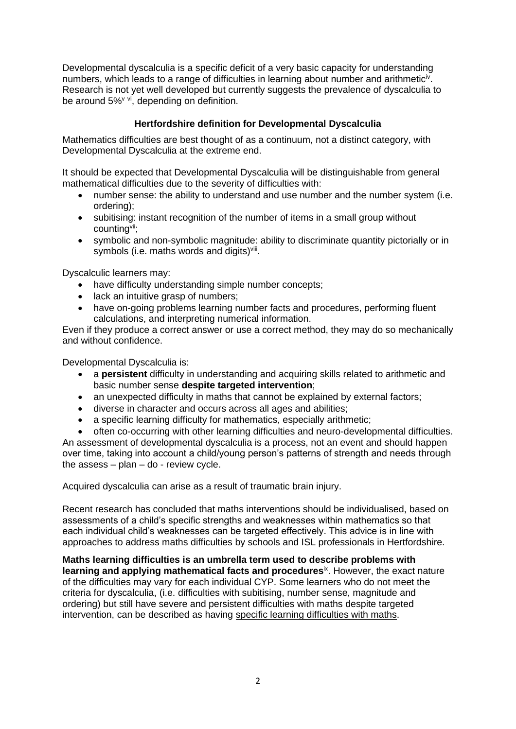Developmental dyscalculia is a specific deficit of a very basic capacity for understanding numbers, which leads to a range of difficulties in learning about number and arithmetic<sup>iv</sup>. Research is not yet well developed but currently suggests the prevalence of dyscalculia to be around  $5\%^{\vee}$  vi, depending on definition.

#### **Hertfordshire definition for Developmental Dyscalculia**

Mathematics difficulties are best thought of as a continuum, not a distinct category, with Developmental Dyscalculia at the extreme end.

It should be expected that Developmental Dyscalculia will be distinguishable from general mathematical difficulties due to the severity of difficulties with:

- number sense: the ability to understand and use number and the number system (i.e. ordering);
- subitising: instant recognition of the number of items in a small group without countingvii;
- symbolic and non-symbolic magnitude: ability to discriminate quantity pictorially or in symbols (i.e. maths words and digits)<sup>viii</sup>.

Dyscalculic learners may:

- have difficulty understanding simple number concepts;
- lack an intuitive grasp of numbers;
- have on-going problems learning number facts and procedures, performing fluent calculations, and interpreting numerical information.

Even if they produce a correct answer or use a correct method, they may do so mechanically and without confidence.

Developmental Dyscalculia is:

- a **persistent** difficulty in understanding and acquiring skills related to arithmetic and basic number sense **despite targeted intervention**;
- an unexpected difficulty in maths that cannot be explained by external factors:
- diverse in character and occurs across all ages and abilities;
- a specific learning difficulty for mathematics, especially arithmetic;

• often co-occurring with other learning difficulties and neuro-developmental difficulties. An assessment of developmental dyscalculia is a process, not an event and should happen over time, taking into account a child/young person's patterns of strength and needs through the assess  $-$  plan  $-$  do  $-$  review cycle.

Acquired dyscalculia can arise as a result of traumatic brain injury.

Recent research has concluded that maths interventions should be individualised, based on assessments of a child's specific strengths and weaknesses within mathematics so that each individual child's weaknesses can be targeted effectively. This advice is in line with approaches to address maths difficulties by schools and ISL professionals in Hertfordshire.

**Maths learning difficulties is an umbrella term used to describe problems with**  learning and applying mathematical facts and procedures<sup>ix</sup>. However, the exact nature of the difficulties may vary for each individual CYP. Some learners who do not meet the criteria for dyscalculia, (i.e. difficulties with subitising, number sense, magnitude and ordering) but still have severe and persistent difficulties with maths despite targeted intervention, can be described as having specific learning difficulties with maths.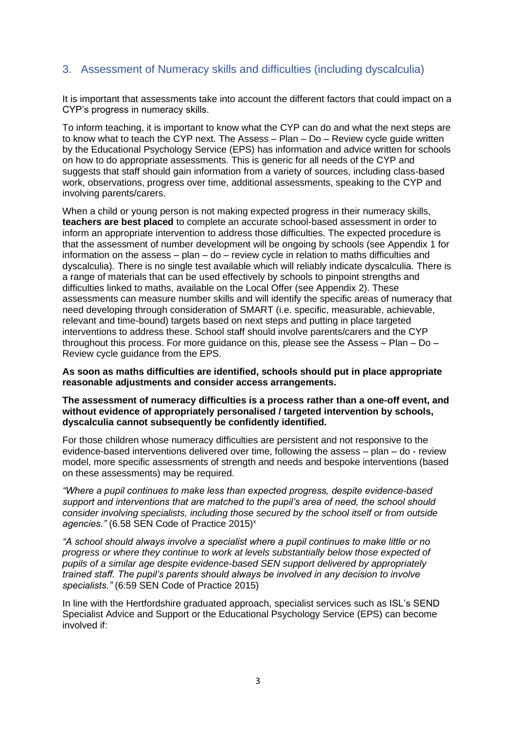## 3. Assessment of Numeracy skills and difficulties (including dyscalculia)

It is important that assessments take into account the different factors that could impact on a CYP's progress in numeracy skills.

To inform teaching, it is important to know what the CYP can do and what the next steps are to know what to teach the CYP next. The Assess – Plan – Do – Review cycle guide written by the Educational Psychology Service (EPS) has information and advice written for schools on how to do appropriate assessments. This is generic for all needs of the CYP and suggests that staff should gain information from a variety of sources, including class-based work, observations, progress over time, additional assessments, speaking to the CYP and involving parents/carers.

When a child or young person is not making expected progress in their numeracy skills, **teachers are best placed** to complete an accurate school-based assessment in order to inform an appropriate intervention to address those difficulties. The expected procedure is that the assessment of number development will be ongoing by schools (see Appendix 1 for information on the assess – plan – do – review cycle in relation to maths difficulties and dyscalculia). There is no single test available which will reliably indicate dyscalculia. There is a range of materials that can be used effectively by schools to pinpoint strengths and difficulties linked to maths, available on the Local Offer (see Appendix 2). These assessments can measure number skills and will identify the specific areas of numeracy that need developing through consideration of SMART (i.e. specific, measurable, achievable, relevant and time-bound) targets based on next steps and putting in place targeted interventions to address these. School staff should involve parents/carers and the CYP throughout this process. For more guidance on this, please see the Assess – Plan – Do – Review cycle guidance from the EPS.

**As soon as maths difficulties are identified, schools should put in place appropriate reasonable adjustments and consider access arrangements.** 

**The assessment of numeracy difficulties is a process rather than a one-off event, and without evidence of appropriately personalised / targeted intervention by schools, dyscalculia cannot subsequently be confidently identified.**

For those children whose numeracy difficulties are persistent and not responsive to the evidence-based interventions delivered over time, following the assess – plan – do - review model, more specific assessments of strength and needs and bespoke interventions (based on these assessments) may be required.

*"Where a pupil continues to make less than expected progress, despite evidence-based support and interventions that are matched to the pupil's area of need, the school should consider involving specialists, including those secured by the school itself or from outside*  agencies." (6.58 SEN Code of Practice 2015)<sup>x</sup>

*"A school should always involve a specialist where a pupil continues to make little or no progress or where they continue to work at levels substantially below those expected of pupils of a similar age despite evidence-based SEN support delivered by appropriately trained staff. The pupil's parents should always be involved in any decision to involve specialists."* (6:59 SEN Code of Practice 2015)

In line with the Hertfordshire graduated approach, specialist services such as ISL's SEND Specialist Advice and Support or the Educational Psychology Service (EPS) can become involved if: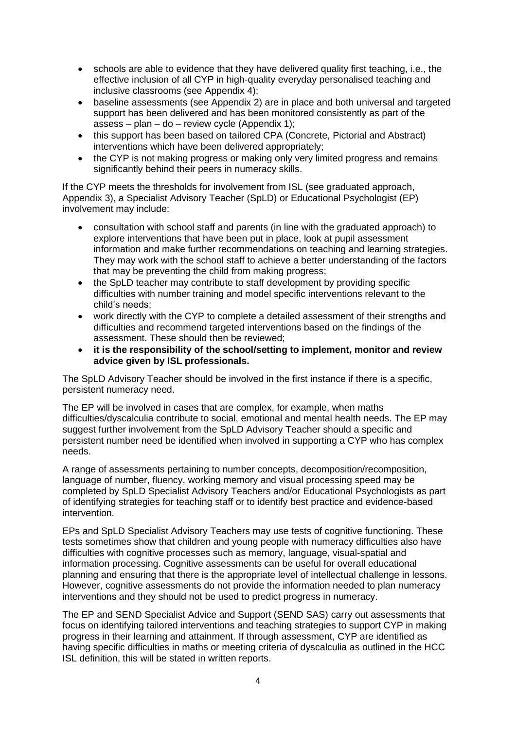- schools are able to evidence that they have delivered quality first teaching, i.e., the effective inclusion of all CYP in high-quality everyday personalised teaching and inclusive classrooms (see Appendix 4);
- baseline assessments (see Appendix 2) are in place and both universal and targeted support has been delivered and has been monitored consistently as part of the assess – plan – do – review cycle (Appendix 1);
- this support has been based on tailored CPA (Concrete, Pictorial and Abstract) interventions which have been delivered appropriately;
- the CYP is not making progress or making only very limited progress and remains significantly behind their peers in numeracy skills.

If the CYP meets the thresholds for involvement from ISL (see graduated approach, Appendix 3), a Specialist Advisory Teacher (SpLD) or Educational Psychologist (EP) involvement may include:

- consultation with school staff and parents (in line with the graduated approach) to explore interventions that have been put in place, look at pupil assessment information and make further recommendations on teaching and learning strategies. They may work with the school staff to achieve a better understanding of the factors that may be preventing the child from making progress;
- the SpLD teacher may contribute to staff development by providing specific difficulties with number training and model specific interventions relevant to the child's needs;
- work directly with the CYP to complete a detailed assessment of their strengths and difficulties and recommend targeted interventions based on the findings of the assessment. These should then be reviewed;
- **it is the responsibility of the school/setting to implement, monitor and review advice given by ISL professionals.**

The SpLD Advisory Teacher should be involved in the first instance if there is a specific, persistent numeracy need.

The EP will be involved in cases that are complex, for example, when maths difficulties/dyscalculia contribute to social, emotional and mental health needs. The EP may suggest further involvement from the SpLD Advisory Teacher should a specific and persistent number need be identified when involved in supporting a CYP who has complex needs.

A range of assessments pertaining to number concepts, decomposition/recomposition, language of number, fluency, working memory and visual processing speed may be completed by SpLD Specialist Advisory Teachers and/or Educational Psychologists as part of identifying strategies for teaching staff or to identify best practice and evidence-based intervention.

EPs and SpLD Specialist Advisory Teachers may use tests of cognitive functioning. These tests sometimes show that children and young people with numeracy difficulties also have difficulties with cognitive processes such as memory, language, visual-spatial and information processing. Cognitive assessments can be useful for overall educational planning and ensuring that there is the appropriate level of intellectual challenge in lessons. However, cognitive assessments do not provide the information needed to plan numeracy interventions and they should not be used to predict progress in numeracy.

The EP and SEND Specialist Advice and Support (SEND SAS) carry out assessments that focus on identifying tailored interventions and teaching strategies to support CYP in making progress in their learning and attainment. If through assessment, CYP are identified as having specific difficulties in maths or meeting criteria of dyscalculia as outlined in the HCC ISL definition, this will be stated in written reports.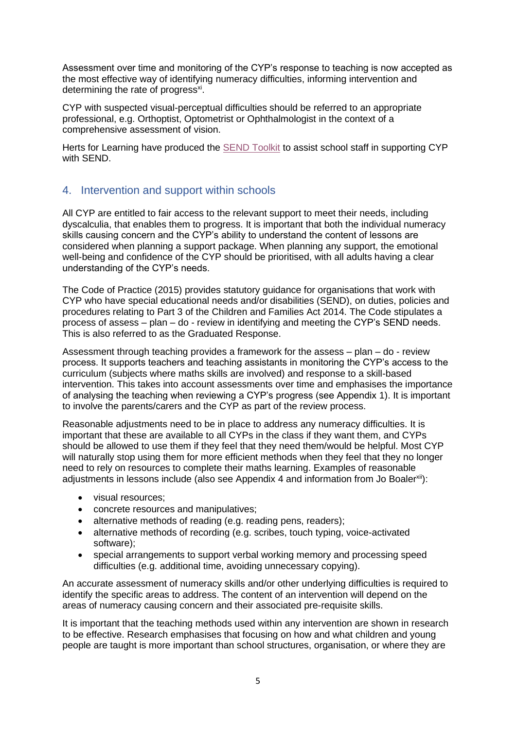Assessment over time and monitoring of the CYP's response to teaching is now accepted as the most effective way of identifying numeracy difficulties, informing intervention and determining the rate of progress<sup>xi</sup>.

CYP with suspected visual-perceptual difficulties should be referred to an appropriate professional, e.g. Orthoptist, Optometrist or Ophthalmologist in the context of a comprehensive assessment of vision.

Herts for Learning have produced the SEND [Toolkit](http://www.hertfordshire.gov.uk/SENDtoolkit) to assist school staff in supporting CYP with SEND.

## 4. Intervention and support within schools

All CYP are entitled to fair access to the relevant support to meet their needs, including dyscalculia, that enables them to progress. It is important that both the individual numeracy skills causing concern and the CYP's ability to understand the content of lessons are considered when planning a support package. When planning any support, the emotional well-being and confidence of the CYP should be prioritised, with all adults having a clear understanding of the CYP's needs.

The Code of Practice (2015) provides statutory guidance for organisations that work with CYP who have special educational needs and/or disabilities (SEND), on duties, policies and procedures relating to Part 3 of the Children and Families Act 2014. The Code stipulates a process of assess – plan – do - review in identifying and meeting the CYP's SEND needs. This is also referred to as the Graduated Response.

Assessment through teaching provides a framework for the assess – plan – do - review process. It supports teachers and teaching assistants in monitoring the CYP's access to the curriculum (subjects where maths skills are involved) and response to a skill-based intervention. This takes into account assessments over time and emphasises the importance of analysing the teaching when reviewing a CYP's progress (see Appendix 1). It is important to involve the parents/carers and the CYP as part of the review process.

Reasonable adjustments need to be in place to address any numeracy difficulties. It is important that these are available to all CYPs in the class if they want them, and CYPs should be allowed to use them if they feel that they need them/would be helpful. Most CYP will naturally stop using them for more efficient methods when they feel that they no longer need to rely on resources to complete their maths learning. Examples of reasonable adjustments in lessons include (also see Appendix 4 and information from Jo Boalerxii):

- visual resources;
- concrete resources and manipulatives;
- alternative methods of reading (e.g. reading pens, readers);
- alternative methods of recording (e.g. scribes, touch typing, voice-activated software);
- special arrangements to support verbal working memory and processing speed difficulties (e.g. additional time, avoiding unnecessary copying).

An accurate assessment of numeracy skills and/or other underlying difficulties is required to identify the specific areas to address. The content of an intervention will depend on the areas of numeracy causing concern and their associated pre-requisite skills.

It is important that the teaching methods used within any intervention are shown in research to be effective. Research emphasises that focusing on how and what children and young people are taught is more important than school structures, organisation, or where they are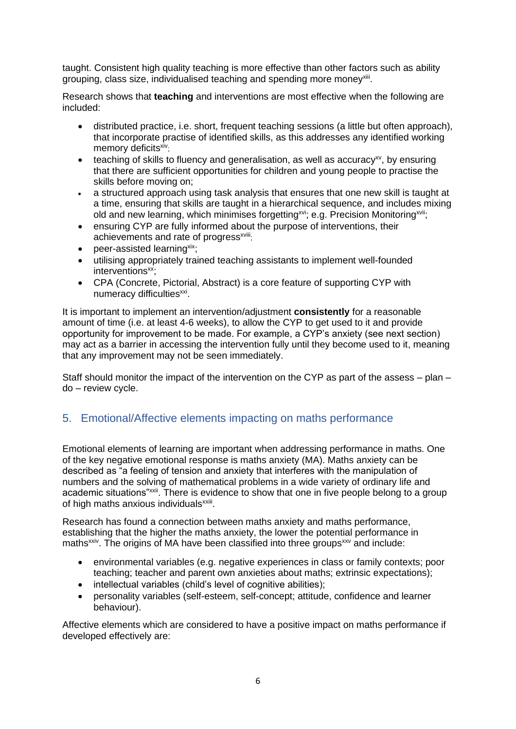taught. Consistent high quality teaching is more effective than other factors such as ability grouping, class size, individualised teaching and spending more money<sup>xiii</sup>.

Research shows that **teaching** and interventions are most effective when the following are included:

- distributed practice, i.e. short, frequent teaching sessions (a little but often approach), that incorporate practise of identified skills, as this addresses any identified working memory deficits<sup>xiv</sup>:
- $\bullet$  teaching of skills to fluency and generalisation, as well as accuracy<sup>xy</sup>, by ensuring that there are sufficient opportunities for children and young people to practise the skills before moving on;
- a structured approach using task analysis that ensures that one new skill is taught at a time, ensuring that skills are taught in a hierarchical sequence, and includes mixing old and new learning, which minimises forgetting<sup>xvi</sup>; e.g. Precision Monitoring<sup>xvii</sup>;
- ensuring CYP are fully informed about the purpose of interventions, their achievements and rate of progress<sup>xviii</sup>:
- peer-assisted learning<sup>xix</sup>;
- utilising appropriately trained teaching assistants to implement well-founded interventions<sup>xx</sup>:
- CPA (Concrete, Pictorial, Abstract) is a core feature of supporting CYP with numeracy difficulties<sup>xxi</sup>.

It is important to implement an intervention/adjustment **consistently** for a reasonable amount of time (i.e. at least 4-6 weeks), to allow the CYP to get used to it and provide opportunity for improvement to be made. For example, a CYP's anxiety (see next section) may act as a barrier in accessing the intervention fully until they become used to it, meaning that any improvement may not be seen immediately.

Staff should monitor the impact of the intervention on the CYP as part of the assess – plan – do – review cycle.

## 5. Emotional/Affective elements impacting on maths performance

Emotional elements of learning are important when addressing performance in maths. One of the key negative emotional response is maths anxiety (MA). Maths anxiety can be described as "a feeling of tension and anxiety that interferes with the manipulation of numbers and the solving of mathematical problems in a wide variety of ordinary life and academic situations"<sup>xxii</sup>. There is evidence to show that one in five people belong to a group of high maths anxious individuals<sup>xxiii</sup>.

Research has found a connection between maths anxiety and maths performance, establishing that the higher the maths anxiety, the lower the potential performance in maths<sup>xxiv</sup>. The origins of MA have been classified into three groups<sup>xxv</sup> and include:

- environmental variables (e.g. negative experiences in class or family contexts; poor teaching; teacher and parent own anxieties about maths; extrinsic expectations);
- intellectual variables (child's level of cognitive abilities);
- personality variables (self-esteem, self-concept; attitude, confidence and learner behaviour).

Affective elements which are considered to have a positive impact on maths performance if developed effectively are: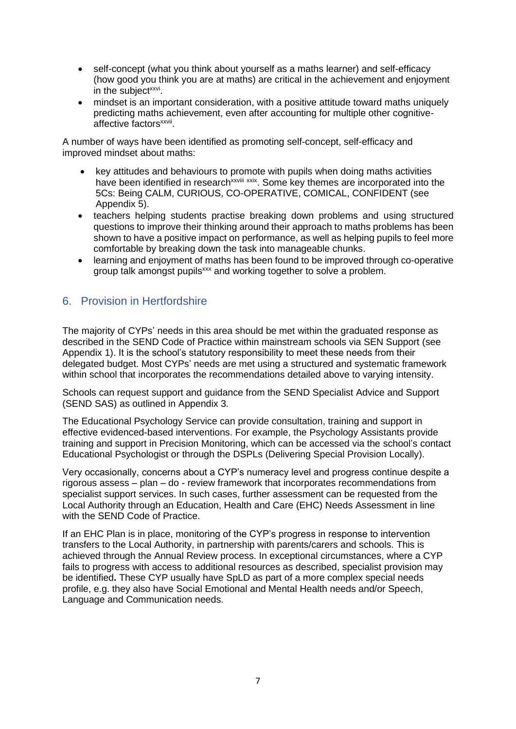- self-concept (what you think about yourself as a maths learner) and self-efficacy (how good you think you are at maths) are critical in the achievement and enjoyment in the subject<sup>xxvi</sup>.
- mindset is an important consideration, with a positive attitude toward maths uniquely predicting maths achievement, even after accounting for multiple other cognitiveaffective factors<sup>xxvii</sup>.

A number of ways have been identified as promoting self-concept, self-efficacy and improved mindset about maths:

- key attitudes and behaviours to promote with pupils when doing maths activities have been identified in research<sup>xxviii</sup> xxix. Some key themes are incorporated into the 5Cs: Being CALM, CURIOUS, CO-OPERATIVE, COMICAL, CONFIDENT (see Appendix 5).
- teachers helping students practise breaking down problems and using structured questions to improve their thinking around their approach to maths problems has been shown to have a positive impact on performance, as well as helping pupils to feel more comfortable by breaking down the task into manageable chunks.
- learning and enjoyment of maths has been found to be improved through co-operative group talk amongst pupils<sup>xxx</sup> and working together to solve a problem.

## 6. Provision in Hertfordshire

The majority of CYPs' needs in this area should be met within the graduated response as described in the SEND Code of Practice within mainstream schools via SEN Support (see Appendix 1). It is the school's statutory responsibility to meet these needs from their delegated budget. Most CYPs' needs are met using a structured and systematic framework within school that incorporates the recommendations detailed above to varying intensity.

Schools can request support and guidance from the SEND Specialist Advice and Support (SEND SAS) as outlined in Appendix 3*.*

The Educational Psychology Service can provide consultation, training and support in effective evidenced-based interventions. For example, the Psychology Assistants provide training and support in Precision Monitoring, which can be accessed via the school's contact Educational Psychologist or through the DSPLs (Delivering Special Provision Locally).

Very occasionally, concerns about a CYP's numeracy level and progress continue despite a rigorous assess – plan – do - review framework that incorporates recommendations from specialist support services. In such cases, further assessment can be requested from the Local Authority through an Education, Health and Care (EHC) Needs Assessment in line with the SEND Code of Practice.

If an EHC Plan is in place, monitoring of the CYP's progress in response to intervention transfers to the Local Authority, in partnership with parents/carers and schools. This is achieved through the Annual Review process. In exceptional circumstances, where a CYP fails to progress with access to additional resources as described, specialist provision may be identified**.** These CYP usually have SpLD as part of a more complex special needs profile, e.g. they also have Social Emotional and Mental Health needs and/or Speech, Language and Communication needs.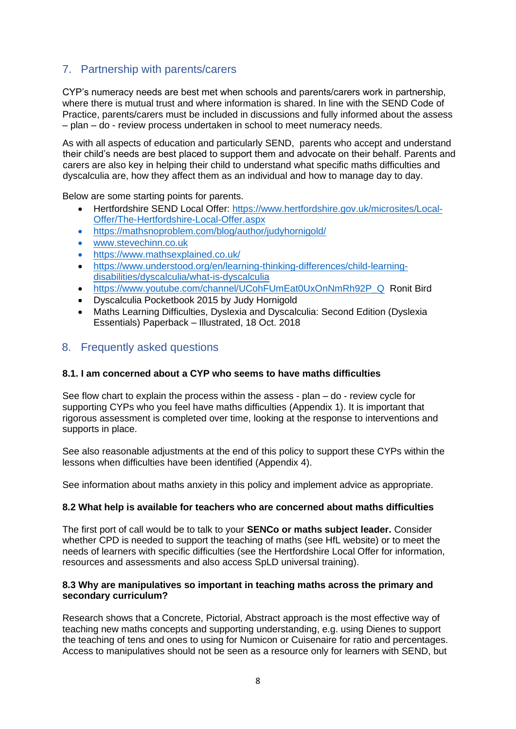## 7. Partnership with parents/carers

CYP's numeracy needs are best met when schools and parents/carers work in partnership, where there is mutual trust and where information is shared. In line with the SEND Code of Practice, parents/carers must be included in discussions and fully informed about the assess – plan – do - review process undertaken in school to meet numeracy needs.

As with all aspects of education and particularly SEND, parents who accept and understand their child's needs are best placed to support them and advocate on their behalf. Parents and carers are also key in helping their child to understand what specific maths difficulties and dyscalculia are, how they affect them as an individual and how to manage day to day.

Below are some starting points for parents.

- Hertfordshire SEND Local Offer: [https://www.hertfordshire.gov.uk/microsites/Local-](https://www.hertfordshire.gov.uk/microsites/Local-Offer/The-Hertfordshire-Local-Offer.aspx)[Offer/The-Hertfordshire-Local-Offer.aspx](https://www.hertfordshire.gov.uk/microsites/Local-Offer/The-Hertfordshire-Local-Offer.aspx)
- <https://mathsnoproblem.com/blog/author/judyhornigold/>
- [www.stevechinn.co.uk](http://www.stevechinn.co.uk/)
- <https://www.mathsexplained.co.uk/>
- [https://www.understood.org/en/learning-thinking-differences/child-learning](https://www.understood.org/en/learning-thinking-differences/child-learning-disabilities/dyscalculia/what-is-dyscalculia)[disabilities/dyscalculia/what-is-dyscalculia](https://www.understood.org/en/learning-thinking-differences/child-learning-disabilities/dyscalculia/what-is-dyscalculia)
- [https://www.youtube.com/channel/UCohFUmEat0UxOnNmRh92P\\_Q](https://www.youtube.com/channel/UCohFUmEat0UxOnNmRh92P_Q)\_Ronit Bird
- Dyscalculia Pocketbook 2015 by Judy Hornigold
- Maths Learning Difficulties, Dyslexia and Dyscalculia: Second Edition (Dyslexia Essentials) Paperback – Illustrated, 18 Oct. 2018

### 8. Frequently asked questions

#### **8.1. I am concerned about a CYP who seems to have maths difficulties**

See flow chart to explain the process within the assess - plan – do - review cycle for supporting CYPs who you feel have maths difficulties (Appendix 1). It is important that rigorous assessment is completed over time, looking at the response to interventions and supports in place.

See also reasonable adjustments at the end of this policy to support these CYPs within the lessons when difficulties have been identified (Appendix 4).

See information about maths anxiety in this policy and implement advice as appropriate.

#### **8.2 What help is available for teachers who are concerned about maths difficulties**

The first port of call would be to talk to your **SENCo or maths subject leader.** Consider whether CPD is needed to support the teaching of maths (see HfL website) or to meet the needs of learners with specific difficulties (see the Hertfordshire Local Offer for information, resources and assessments and also access SpLD universal training).

#### **8.3 Why are manipulatives so important in teaching maths across the primary and secondary curriculum?**

Research shows that a Concrete, Pictorial, Abstract approach is the most effective way of teaching new maths concepts and supporting understanding, e.g. using Dienes to support the teaching of tens and ones to using for Numicon or Cuisenaire for ratio and percentages. Access to manipulatives should not be seen as a resource only for learners with SEND, but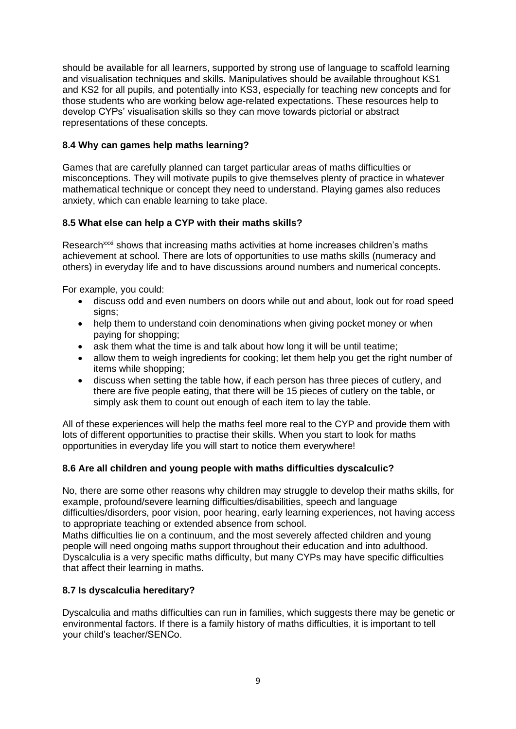should be available for all learners, supported by strong use of language to scaffold learning and visualisation techniques and skills. Manipulatives should be available throughout KS1 and KS2 for all pupils, and potentially into KS3, especially for teaching new concepts and for those students who are working below age-related expectations. These resources help to develop CYPs' visualisation skills so they can move towards pictorial or abstract representations of these concepts.

#### **8.4 Why can games help maths learning?**

Games that are carefully planned can target particular areas of maths difficulties or misconceptions. They will motivate pupils to give themselves plenty of practice in whatever mathematical technique or concept they need to understand. Playing games also reduces anxiety, which can enable learning to take place.

#### **8.5 What else can help a CYP with their maths skills?**

Research<sup>xxxi</sup> shows that increasing maths activities at home increases children's maths achievement at school. There are lots of opportunities to use maths skills (numeracy and others) in everyday life and to have discussions around numbers and numerical concepts.

For example, you could:

- discuss odd and even numbers on doors while out and about, look out for road speed signs;
- help them to understand coin denominations when giving pocket money or when paying for shopping;
- ask them what the time is and talk about how long it will be until teatime:
- allow them to weigh ingredients for cooking; let them help you get the right number of items while shopping;
- discuss when setting the table how, if each person has three pieces of cutlery, and there are five people eating, that there will be 15 pieces of cutlery on the table, or simply ask them to count out enough of each item to lay the table.

All of these experiences will help the maths feel more real to the CYP and provide them with lots of different opportunities to practise their skills. When you start to look for maths opportunities in everyday life you will start to notice them everywhere!

### **8.6 Are all children and young people with maths difficulties dyscalculic?**

No, there are some other reasons why children may struggle to develop their maths skills, for example, profound/severe learning difficulties/disabilities, speech and language difficulties/disorders, poor vision, poor hearing, early learning experiences, not having access to appropriate teaching or extended absence from school.

Maths difficulties lie on a continuum, and the most severely affected children and young people will need ongoing maths support throughout their education and into adulthood. Dyscalculia is a very specific maths difficulty, but many CYPs may have specific difficulties that affect their learning in maths.

### **8.7 Is dyscalculia hereditary?**

Dyscalculia and maths difficulties can run in families, which suggests there may be genetic or environmental factors. If there is a family history of maths difficulties, it is important to tell your child's teacher/SENCo.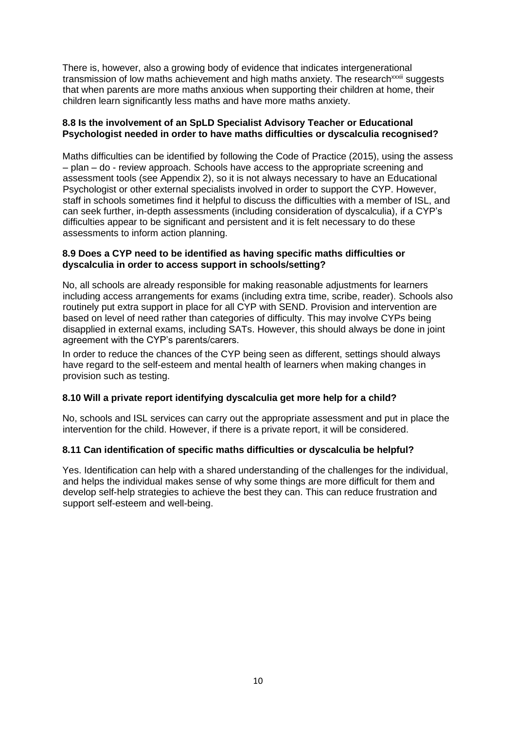There is, however, also a growing body of evidence that indicates intergenerational transmission of low maths achievement and high maths anxiety. The research<sup>xxxii</sup> suggests that when parents are more maths anxious when supporting their children at home, their children learn significantly less maths and have more maths anxiety.

#### **8.8 Is the involvement of an SpLD Specialist Advisory Teacher or Educational Psychologist needed in order to have maths difficulties or dyscalculia recognised?**

Maths difficulties can be identified by following the Code of Practice (2015), using the assess – plan – do - review approach. Schools have access to the appropriate screening and assessment tools (see Appendix 2), so it is not always necessary to have an Educational Psychologist or other external specialists involved in order to support the CYP. However, staff in schools sometimes find it helpful to discuss the difficulties with a member of ISL, and can seek further, in-depth assessments (including consideration of dyscalculia), if a CYP's difficulties appear to be significant and persistent and it is felt necessary to do these assessments to inform action planning.

#### **8.9 Does a CYP need to be identified as having specific maths difficulties or dyscalculia in order to access support in schools/setting?**

No, all schools are already responsible for making reasonable adjustments for learners including access arrangements for exams (including extra time, scribe, reader). Schools also routinely put extra support in place for all CYP with SEND. Provision and intervention are based on level of need rather than categories of difficulty. This may involve CYPs being disapplied in external exams, including SATs. However, this should always be done in joint agreement with the CYP's parents/carers.

In order to reduce the chances of the CYP being seen as different, settings should always have regard to the self-esteem and mental health of learners when making changes in provision such as testing.

### **8.10 Will a private report identifying dyscalculia get more help for a child?**

No, schools and ISL services can carry out the appropriate assessment and put in place the intervention for the child. However, if there is a private report, it will be considered.

#### **8.11 Can identification of specific maths difficulties or dyscalculia be helpful?**

Yes. Identification can help with a shared understanding of the challenges for the individual, and helps the individual makes sense of why some things are more difficult for them and develop self-help strategies to achieve the best they can. This can reduce frustration and support self-esteem and well-being.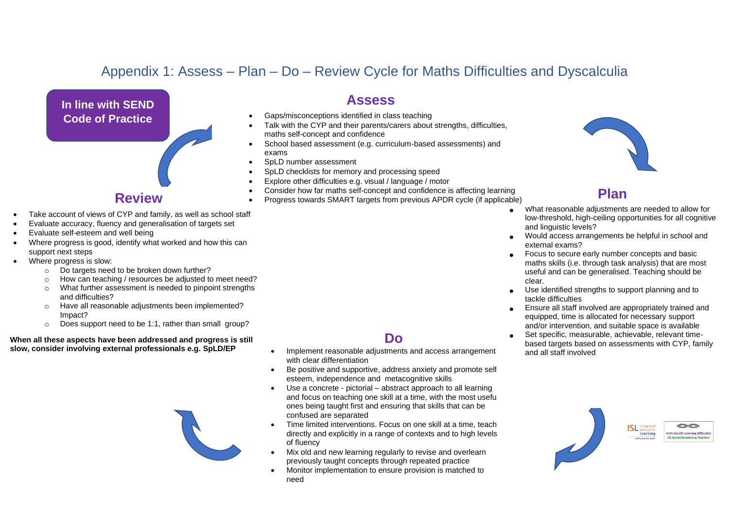# Appendix 1: Assess – Plan – Do – Review Cycle for Maths Difficulties and Dyscalculia



## **Review**

- Take account of views of CYP and family, as well as school staff
- Evaluate accuracy, fluency and generalisation of targets set
- Evaluate self-esteem and well being
- Where progress is good, identify what worked and how this can support next steps
- Where progress is slow:
	- o Do targets need to be broken down further?
	- o How can teaching / resources be adjusted to meet need?
	- o What further assessment is needed to pinpoint strengths and difficulties?
	- o Have all reasonable adjustments been implemented? Impact?
	- o Does support need to be 1:1, rather than small group?

**When all these aspects have been addressed and progress is still slow, consider involving external professionals e.g. SpLD/EP**



## **Assess**

- Gaps/misconceptions identified in class teaching
- Talk with the CYP and their parents/carers about strengths, difficulties, maths self-concept and confidence
- School based assessment (e.g. curriculum-based assessments) and exams
- SpLD number assessment
- SpLD checklists for memory and processing speed
- Explore other difficulties e.g. visual / language / motor
- Consider how far maths self-concept and confidence is affecting learning
- Progress towards SMART targets from previous APDR cycle (if applicable)



# **Plan**

- **•** What reasonable adjustments are needed to allow for low-threshold, high-ceiling opportunities for all cognitive and linguistic levels?
- **•** Would access arrangements be helpful in school and external exams?
- **•** Focus to secure early number concepts and basic maths skills (i.e. through task analysis) that are most useful and can be generalised. Teaching should be clear.
- **•** Use identified strengths to support planning and to tackle difficulties
- **•** Ensure all staff involved are appropriately trained and equipped, time is allocated for necessary support and/or intervention, and suitable space is available
- **•** Set specific, measurable, achievable, relevant timebased targets based on assessments with CYP, family and all staff involved



## **Do**

- Implement reasonable adjustments and access arrangement with clear differentiation
- Be positive and supportive, address anxiety and promote selfesteem, independence and metacognitive skills
- Use a concrete pictorial abstract approach to all learning and focus on teaching one skill at a time, with the most useful ones being taught first and ensuring that skills that can be confused are separated
- Time limited interventions. Focus on one skill at a time, teach directly and explicitly in a range of contexts and to high levels of fluency
- Mix old and new learning regularly to revise and overlearn previously taught concepts through repeated practice
- Monitor implementation to ensure provision is matched to need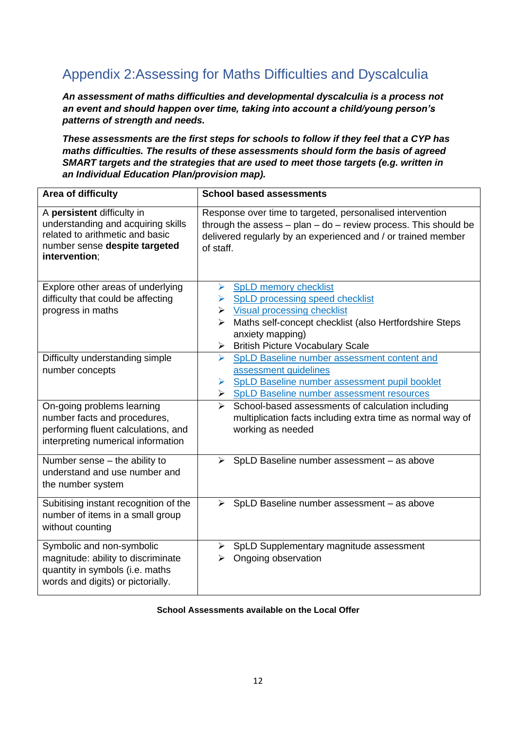# Appendix 2:Assessing for Maths Difficulties and Dyscalculia

*An assessment of maths difficulties and developmental dyscalculia is a process not an event and should happen over time, taking into account a child/young person's patterns of strength and needs.* 

*These assessments are the first steps for schools to follow if they feel that a CYP has maths difficulties. The results of these assessments should form the basis of agreed SMART targets and the strategies that are used to meet those targets (e.g. written in an Individual Education Plan/provision map).*

| Area of difficulty                                                                                                                                    | <b>School based assessments</b>                                                                                                                                                                                  |  |  |
|-------------------------------------------------------------------------------------------------------------------------------------------------------|------------------------------------------------------------------------------------------------------------------------------------------------------------------------------------------------------------------|--|--|
| A persistent difficulty in<br>understanding and acquiring skills<br>related to arithmetic and basic<br>number sense despite targeted<br>intervention; | Response over time to targeted, personalised intervention<br>through the assess $-$ plan $-$ do $-$ review process. This should be<br>delivered regularly by an experienced and / or trained member<br>of staff. |  |  |
| Explore other areas of underlying                                                                                                                     | > SpLD memory checklist                                                                                                                                                                                          |  |  |
| difficulty that could be affecting                                                                                                                    | > SpLD processing speed checklist                                                                                                                                                                                |  |  |
| progress in maths                                                                                                                                     | $\triangleright$ Visual processing checklist                                                                                                                                                                     |  |  |
|                                                                                                                                                       | Maths self-concept checklist (also Hertfordshire Steps<br>➤                                                                                                                                                      |  |  |
|                                                                                                                                                       | anxiety mapping)                                                                                                                                                                                                 |  |  |
| Difficulty understanding simple                                                                                                                       | > British Picture Vocabulary Scale<br>SpLD Baseline number assessment content and<br>$\blacktriangleright$                                                                                                       |  |  |
| number concepts                                                                                                                                       | assessment guidelines                                                                                                                                                                                            |  |  |
|                                                                                                                                                       | SpLD Baseline number assessment pupil booklet<br>➤                                                                                                                                                               |  |  |
|                                                                                                                                                       | > SpLD Baseline number assessment resources                                                                                                                                                                      |  |  |
| On-going problems learning<br>number facts and procedures,<br>performing fluent calculations, and<br>interpreting numerical information               | School-based assessments of calculation including<br>$\blacktriangleright$<br>multiplication facts including extra time as normal way of<br>working as needed                                                    |  |  |
| Number sense - the ability to<br>understand and use number and<br>the number system                                                                   | SpLD Baseline number assessment - as above<br>≻                                                                                                                                                                  |  |  |
| Subitising instant recognition of the<br>number of items in a small group<br>without counting                                                         | SpLD Baseline number assessment - as above<br>$\blacktriangleright$                                                                                                                                              |  |  |
| Symbolic and non-symbolic<br>magnitude: ability to discriminate<br>quantity in symbols (i.e. maths<br>words and digits) or pictorially.               | > SpLD Supplementary magnitude assessment<br>Ongoing observation<br>➤                                                                                                                                            |  |  |

#### **School Assessments available on the Local Offer**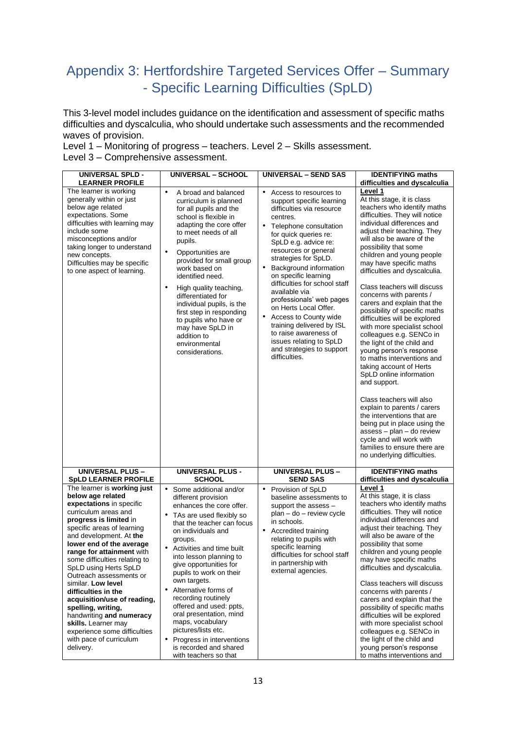# Appendix 3: Hertfordshire Targeted Services Offer – Summary - Specific Learning Difficulties (SpLD)

This 3-level model includes guidance on the identification and assessment of specific maths difficulties and dyscalculia, who should undertake such assessments and the recommended waves of provision.

Level 1 – Monitoring of progress – teachers. Level 2 – Skills assessment. Level 3 – Comprehensive assessment.

| <b>UNIVERSAL SPLD -</b><br><b>LEARNER PROFILE</b>                                                                                                                                                                                                                                                                                                                                                                                                                                                                                                                  | <b>UNIVERSAL - SCHOOL</b>                                                                                                                                                                                                                                                                                                                                                                                                                                                                                                                      | <b>UNIVERSAL - SEND SAS</b>                                                                                                                                                                                                                                                                                                                                                                                                                                                                                                                               | <b>IDENTIFYING maths</b><br>difficulties and dyscalculia                                                                                                                                                                                                                                                                                                                                                                                                                                                                                                                                                                                                                                                                                                                                                                                                                                                                                                 |
|--------------------------------------------------------------------------------------------------------------------------------------------------------------------------------------------------------------------------------------------------------------------------------------------------------------------------------------------------------------------------------------------------------------------------------------------------------------------------------------------------------------------------------------------------------------------|------------------------------------------------------------------------------------------------------------------------------------------------------------------------------------------------------------------------------------------------------------------------------------------------------------------------------------------------------------------------------------------------------------------------------------------------------------------------------------------------------------------------------------------------|-----------------------------------------------------------------------------------------------------------------------------------------------------------------------------------------------------------------------------------------------------------------------------------------------------------------------------------------------------------------------------------------------------------------------------------------------------------------------------------------------------------------------------------------------------------|----------------------------------------------------------------------------------------------------------------------------------------------------------------------------------------------------------------------------------------------------------------------------------------------------------------------------------------------------------------------------------------------------------------------------------------------------------------------------------------------------------------------------------------------------------------------------------------------------------------------------------------------------------------------------------------------------------------------------------------------------------------------------------------------------------------------------------------------------------------------------------------------------------------------------------------------------------|
| The learner is working<br>generally within or just<br>below age related<br>expectations. Some<br>difficulties with learning may<br>include some<br>misconceptions and/or<br>taking longer to understand<br>new concepts.<br>Difficulties may be specific<br>to one aspect of learning.                                                                                                                                                                                                                                                                             | $\bullet$<br>A broad and balanced<br>curriculum is planned<br>for all pupils and the<br>school is flexible in<br>adapting the core offer<br>to meet needs of all<br>pupils.<br>$\bullet$<br>Opportunities are<br>provided for small group<br>work based on<br>identified need.<br>High quality teaching,<br>differentiated for<br>individual pupils, is the<br>first step in responding<br>to pupils who have or<br>may have SpLD in<br>addition to<br>environmental<br>considerations.                                                        | • Access to resources to<br>support specific learning<br>difficulties via resource<br>centres.<br>• Telephone consultation<br>for quick queries re:<br>SpLD e.g. advice re:<br>resources or general<br>strategies for SpLD.<br>Background information<br>$\bullet$<br>on specific learning<br>difficulties for school staff<br>available via<br>professionals' web pages<br>on Herts Local Offer.<br>Access to County wide<br>training delivered by ISL<br>to raise awareness of<br>issues relating to SpLD<br>and strategies to support<br>difficulties. | Level 1<br>At this stage, it is class<br>teachers who identify maths<br>difficulties. They will notice<br>individual differences and<br>adjust their teaching. They<br>will also be aware of the<br>possibility that some<br>children and young people<br>may have specific maths<br>difficulties and dyscalculia.<br>Class teachers will discuss<br>concerns with parents /<br>carers and explain that the<br>possibility of specific maths<br>difficulties will be explored<br>with more specialist school<br>colleagues e.g. SENCo in<br>the light of the child and<br>young person's response<br>to maths interventions and<br>taking account of Herts<br>SpLD online information<br>and support.<br>Class teachers will also<br>explain to parents / carers<br>the interventions that are<br>being put in place using the<br>$assess - plan - do review$<br>cycle and will work with<br>families to ensure there are<br>no underlying difficulties. |
| <b>UNIVERSAL PLUS -</b><br><b>SpLD LEARNER PROFILE</b>                                                                                                                                                                                                                                                                                                                                                                                                                                                                                                             | <b>UNIVERSAL PLUS -</b><br><b>SCHOOL</b>                                                                                                                                                                                                                                                                                                                                                                                                                                                                                                       | <b>UNIVERSAL PLUS -</b><br><b>SEND SAS</b>                                                                                                                                                                                                                                                                                                                                                                                                                                                                                                                | <b>IDENTIFYING maths</b><br>difficulties and dyscalculia                                                                                                                                                                                                                                                                                                                                                                                                                                                                                                                                                                                                                                                                                                                                                                                                                                                                                                 |
| The learner is working just<br>below age related<br>expectations in specific<br>curriculum areas and<br>progress is limited in<br>specific areas of learning<br>and development. At the<br>lower end of the average<br>range for attainment with<br>some difficulties relating to<br>SpLD using Herts SpLD<br>Outreach assessments or<br>similar. Low level<br>difficulties in the<br>acquisition/use of reading,<br>spelling, writing,<br>handwriting and numeracy<br>skills. Learner may<br>experience some difficulties<br>with pace of curriculum<br>delivery. | Some additional and/or<br>different provision<br>enhances the core offer.<br>TAs are used flexibly so<br>that the teacher can focus<br>on individuals and<br>groups.<br>Activities and time built<br>into lesson planning to<br>give opportunities for<br>pupils to work on their<br>own targets.<br>Alternative forms of<br>$\bullet$<br>recording routinely<br>offered and used: ppts,<br>oral presentation, mind<br>maps, vocabulary<br>pictures/lists etc.<br>Progress in interventions<br>is recorded and shared<br>with teachers so that | Provision of SpLD<br>٠<br>baseline assessments to<br>support the assess -<br>$plan - do - review cycle$<br>in schools.<br><b>Accredited training</b><br>$\bullet$<br>relating to pupils with<br>specific learning<br>difficulties for school staff<br>in partnership with<br>external agencies.                                                                                                                                                                                                                                                           | Level 1<br>At this stage, it is class<br>teachers who identify maths<br>difficulties. They will notice<br>individual differences and<br>adjust their teaching. They<br>will also be aware of the<br>possibility that some<br>children and young people<br>may have specific maths<br>difficulties and dyscalculia.<br>Class teachers will discuss<br>concerns with parents /<br>carers and explain that the<br>possibility of specific maths<br>difficulties will be explored<br>with more specialist school<br>colleagues e.g. SENCo in<br>the light of the child and<br>young person's response<br>to maths interventions and                                                                                                                                                                                                                                                                                                                          |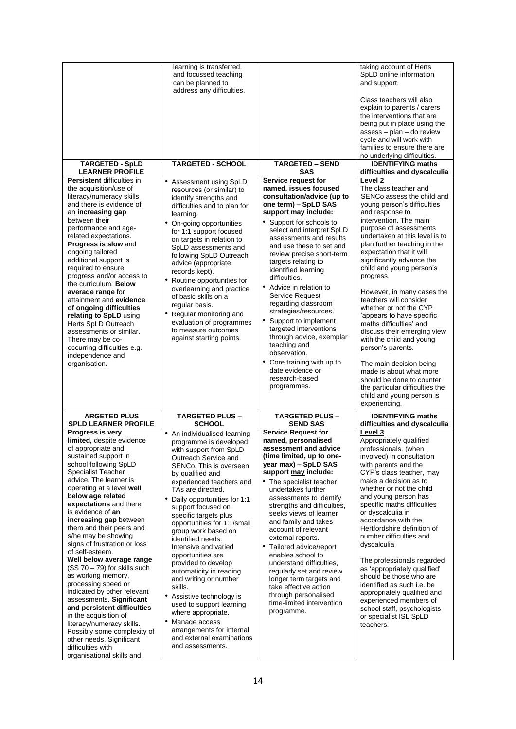|                                                                                                                                                                                                                                                                                                                                                                                                                                                                                                                                                                                                                                                                                                                                                                                      | learning is transferred,<br>and focussed teaching<br>can be planned to<br>address any difficulties.                                                                                                                                                                                                                                                                                                                                                                                                                                                                                                                                                                                  |                                                                                                                                                                                                                                                                                                                                                                                                                                                                                                                                                                                                                                         | taking account of Herts<br>SpLD online information<br>and support.<br>Class teachers will also<br>explain to parents / carers<br>the interventions that are<br>being put in place using the<br>assess - plan - do review<br>cycle and will work with<br>families to ensure there are                                                                                                                                                                                                                                                                                                                                                                                                                                                              |
|--------------------------------------------------------------------------------------------------------------------------------------------------------------------------------------------------------------------------------------------------------------------------------------------------------------------------------------------------------------------------------------------------------------------------------------------------------------------------------------------------------------------------------------------------------------------------------------------------------------------------------------------------------------------------------------------------------------------------------------------------------------------------------------|--------------------------------------------------------------------------------------------------------------------------------------------------------------------------------------------------------------------------------------------------------------------------------------------------------------------------------------------------------------------------------------------------------------------------------------------------------------------------------------------------------------------------------------------------------------------------------------------------------------------------------------------------------------------------------------|-----------------------------------------------------------------------------------------------------------------------------------------------------------------------------------------------------------------------------------------------------------------------------------------------------------------------------------------------------------------------------------------------------------------------------------------------------------------------------------------------------------------------------------------------------------------------------------------------------------------------------------------|---------------------------------------------------------------------------------------------------------------------------------------------------------------------------------------------------------------------------------------------------------------------------------------------------------------------------------------------------------------------------------------------------------------------------------------------------------------------------------------------------------------------------------------------------------------------------------------------------------------------------------------------------------------------------------------------------------------------------------------------------|
| <b>TARGETED - SpLD</b>                                                                                                                                                                                                                                                                                                                                                                                                                                                                                                                                                                                                                                                                                                                                                               | <b>TARGETED - SCHOOL</b>                                                                                                                                                                                                                                                                                                                                                                                                                                                                                                                                                                                                                                                             | <b>TARGETED - SEND</b>                                                                                                                                                                                                                                                                                                                                                                                                                                                                                                                                                                                                                  | no underlying difficulties.<br><b>IDENTIFYING maths</b>                                                                                                                                                                                                                                                                                                                                                                                                                                                                                                                                                                                                                                                                                           |
| <b>LEARNER PROFILE</b>                                                                                                                                                                                                                                                                                                                                                                                                                                                                                                                                                                                                                                                                                                                                                               |                                                                                                                                                                                                                                                                                                                                                                                                                                                                                                                                                                                                                                                                                      | <b>SAS</b>                                                                                                                                                                                                                                                                                                                                                                                                                                                                                                                                                                                                                              | difficulties and dyscalculia                                                                                                                                                                                                                                                                                                                                                                                                                                                                                                                                                                                                                                                                                                                      |
| <b>Persistent difficulties in</b><br>the acquisition/use of<br>literacy/numeracy skills<br>and there is evidence of<br>an increasing gap<br>between their<br>performance and age-<br>related expectations.<br>Progress is slow and<br>ongoing tailored<br>additional support is<br>required to ensure<br>progress and/or access to<br>the curriculum. Below<br>average range for<br>attainment and evidence<br>of ongoing difficulties<br>relating to SpLD using<br>Herts SpLD Outreach<br>assessments or similar.<br>There may be co-<br>occurring difficulties e.g.<br>independence and<br>organisation.                                                                                                                                                                           | • Assessment using SpLD<br>resources (or similar) to<br>identify strengths and<br>difficulties and to plan for<br>learning.<br>• On-going opportunities<br>for 1:1 support focused<br>on targets in relation to<br>SpLD assessments and<br>following SpLD Outreach<br>advice (appropriate<br>records kept).<br>• Routine opportunities for<br>overlearning and practice<br>of basic skills on a<br>regular basis.<br>• Regular monitoring and<br>evaluation of programmes<br>to measure outcomes<br>against starting points.                                                                                                                                                         | Service request for<br>named, issues focused<br>consultation/advice (up to<br>one term) - SpLD SAS<br>support may include:<br>• Support for schools to<br>select and interpret SpLD<br>assessments and results<br>and use these to set and<br>review precise short-term<br>targets relating to<br>identified learning<br>difficulties.<br>• Advice in relation to<br>Service Request<br>regarding classroom<br>strategies/resources.<br>• Support to implement<br>targeted interventions<br>through advice, exemplar<br>teaching and<br>observation.<br>• Core training with up to<br>date evidence or<br>research-based<br>programmes. | Level <sub>2</sub><br>The class teacher and<br>SENCo assess the child and<br>young person's difficulties<br>and response to<br>intervention. The main<br>purpose of assessments<br>undertaken at this level is to<br>plan further teaching in the<br>expectation that it will<br>significantly advance the<br>child and young person's<br>progress.<br>However, in many cases the<br>teachers will consider<br>whether or not the CYP<br>'appears to have specific<br>maths difficulties' and<br>discuss their emerging view<br>with the child and young<br>person's parents.<br>The main decision being<br>made is about what more<br>should be done to counter<br>the particular difficulties the<br>child and young person is<br>experiencing. |
| <b>ARGETED PLUS</b><br><b>SPLD LEARNER PROFILE</b>                                                                                                                                                                                                                                                                                                                                                                                                                                                                                                                                                                                                                                                                                                                                   | <b>TARGETED PLUS -</b><br><b>SCHOOL</b>                                                                                                                                                                                                                                                                                                                                                                                                                                                                                                                                                                                                                                              | <b>TARGETED PLUS -</b><br><b>SEND SAS</b>                                                                                                                                                                                                                                                                                                                                                                                                                                                                                                                                                                                               | <b>IDENTIFYING maths</b><br>difficulties and dyscalculia                                                                                                                                                                                                                                                                                                                                                                                                                                                                                                                                                                                                                                                                                          |
| Progress is very<br>limited, despite evidence<br>or appropriate and<br>sustained support in<br>school following SpLD<br><b>Specialist Teacher</b><br>advice. The learner is<br>operating at a level well<br>below age related<br>expectations and there<br>is evidence of an<br>increasing gap between<br>them and their peers and<br>s/he may be showing<br>signs of frustration or loss<br>of self-esteem.<br>Well below average range<br>$(SS 70 – 79)$ for skills such<br>as working memory,<br>processing speed or<br>indicated by other relevant<br>assessments. Significant<br>and persistent difficulties<br>in the acquisition of<br>literacy/numeracy skills.<br>Possibly some complexity of<br>other needs. Significant<br>difficulties with<br>organisational skills and | • An individualised learning<br>programme is developed<br>with support from SpLD<br>Outreach Service and<br>SENCo. This is overseen<br>by qualified and<br>experienced teachers and<br>TAs are directed.<br>Daily opportunities for 1:1<br>support focused on<br>specific targets plus<br>opportunities for 1:1/small<br>group work based on<br>identified needs.<br>Intensive and varied<br>opportunities are<br>provided to develop<br>automaticity in reading<br>and writing or number<br>skills.<br>• Assistive technology is<br>used to support learning<br>where appropriate.<br>• Manage access<br>arrangements for internal<br>and external examinations<br>and assessments. | <b>Service Request for</b><br>named, personalised<br>assessment and advice<br>(time limited, up to one-<br>year max) - SpLD SAS<br>support may include:<br>• The specialist teacher<br>undertakes further<br>assessments to identify<br>strengths and difficulties,<br>seeks views of learner<br>and family and takes<br>account of relevant<br>external reports.<br>Tailored advice/report<br>٠<br>enables school to<br>understand difficulties,<br>regularly set and review<br>longer term targets and<br>take effective action<br>through personalised<br>time-limited intervention<br>programme.                                    | Level 3<br>Appropriately qualified<br>professionals, (when<br>involved) in consultation<br>with parents and the<br>CYP's class teacher, may<br>make a decision as to<br>whether or not the child<br>and young person has<br>specific maths difficulties<br>or dyscalculia in<br>accordance with the<br>Hertfordshire definition of<br>number difficulties and<br>dyscalculia<br>The professionals regarded<br>as 'appropriately qualified'<br>should be those who are<br>identified as such i.e. be<br>appropriately qualified and<br>experienced members of<br>school staff, psychologists<br>or specialist ISL SpLD<br>teachers.                                                                                                                |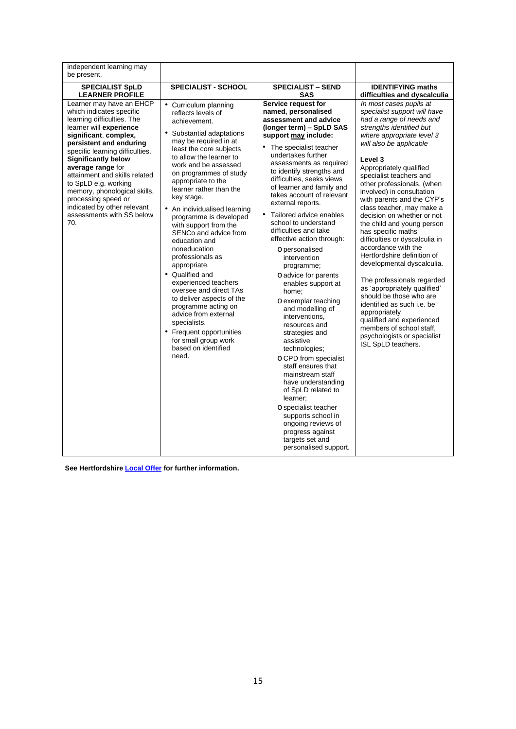| independent learning may<br>be present.                                                                                                                                                                                                                                                                                                                                                                                                    |                                                                                                                                                                                                                                                                                                                                                                                                                                                                                                                                                                                                                                                                                                                                |                                                                                                                                                                                                                                                                                                                                                                                                                                                                                                                                                                                                                                                                                                                                                                                                                                                                                                                                                                       |                                                                                                                                                                                                                                                                                                                                                                                                                                                                                                                                                                                                                                                                                                                                                                                                                              |
|--------------------------------------------------------------------------------------------------------------------------------------------------------------------------------------------------------------------------------------------------------------------------------------------------------------------------------------------------------------------------------------------------------------------------------------------|--------------------------------------------------------------------------------------------------------------------------------------------------------------------------------------------------------------------------------------------------------------------------------------------------------------------------------------------------------------------------------------------------------------------------------------------------------------------------------------------------------------------------------------------------------------------------------------------------------------------------------------------------------------------------------------------------------------------------------|-----------------------------------------------------------------------------------------------------------------------------------------------------------------------------------------------------------------------------------------------------------------------------------------------------------------------------------------------------------------------------------------------------------------------------------------------------------------------------------------------------------------------------------------------------------------------------------------------------------------------------------------------------------------------------------------------------------------------------------------------------------------------------------------------------------------------------------------------------------------------------------------------------------------------------------------------------------------------|------------------------------------------------------------------------------------------------------------------------------------------------------------------------------------------------------------------------------------------------------------------------------------------------------------------------------------------------------------------------------------------------------------------------------------------------------------------------------------------------------------------------------------------------------------------------------------------------------------------------------------------------------------------------------------------------------------------------------------------------------------------------------------------------------------------------------|
| <b>SPECIALIST SpLD</b><br><b>LEARNER PROFILE</b>                                                                                                                                                                                                                                                                                                                                                                                           | <b>SPECIALIST - SCHOOL</b>                                                                                                                                                                                                                                                                                                                                                                                                                                                                                                                                                                                                                                                                                                     | <b>SPECIALIST - SEND</b><br><b>SAS</b>                                                                                                                                                                                                                                                                                                                                                                                                                                                                                                                                                                                                                                                                                                                                                                                                                                                                                                                                | <b>IDENTIFYING maths</b><br>difficulties and dyscalculia                                                                                                                                                                                                                                                                                                                                                                                                                                                                                                                                                                                                                                                                                                                                                                     |
| Learner may have an EHCP<br>which indicates specific<br>learning difficulties. The<br>learner will experience<br>significant, complex,<br>persistent and enduring<br>specific learning difficulties.<br><b>Significantly below</b><br>average range for<br>attainment and skills related<br>to SpLD e.g. working<br>memory, phonological skills,<br>processing speed or<br>indicated by other relevant<br>assessments with SS below<br>70. | • Curriculum planning<br>reflects levels of<br>achievement.<br>• Substantial adaptations<br>may be required in at<br>least the core subjects<br>to allow the learner to<br>work and be assessed<br>on programmes of study<br>appropriate to the<br>learner rather than the<br>key stage.<br>• An individualised learning<br>programme is developed<br>with support from the<br>SENCo and advice from<br>education and<br>noneducation<br>professionals as<br>appropriate.<br>• Qualified and<br>experienced teachers<br>oversee and direct TAs<br>to deliver aspects of the<br>programme acting on<br>advice from external<br>specialists.<br>• Frequent opportunities<br>for small group work<br>based on identified<br>need. | Service request for<br>named, personalised<br>assessment and advice<br>(longer term) - SpLD SAS<br>support may include:<br>The specialist teacher<br>undertakes further<br>assessments as required<br>to identify strengths and<br>difficulties, seeks views<br>of learner and family and<br>takes account of relevant<br>external reports.<br>Tailored advice enables<br>$\bullet$<br>school to understand<br>difficulties and take<br>effective action through:<br>O personalised<br>intervention<br>programme;<br>O advice for parents<br>enables support at<br>home;<br>O exemplar teaching<br>and modelling of<br>interventions.<br>resources and<br>strategies and<br>assistive<br>technologies;<br>O CPD from specialist<br>staff ensures that<br>mainstream staff<br>have understanding<br>of SpLD related to<br>learner:<br>O specialist teacher<br>supports school in<br>ongoing reviews of<br>progress against<br>targets set and<br>personalised support. | In most cases pupils at<br>specialist support will have<br>had a range of needs and<br>strengths identified but<br>where appropriate level 3<br>will also be applicable<br>Level 3<br>Appropriately qualified<br>specialist teachers and<br>other professionals, (when<br>involved) in consultation<br>with parents and the CYP's<br>class teacher, may make a<br>decision on whether or not<br>the child and young person<br>has specific maths<br>difficulties or dyscalculia in<br>accordance with the<br>Hertfordshire definition of<br>developmental dyscalculia.<br>The professionals regarded<br>as 'appropriately qualified'<br>should be those who are<br>identified as such i.e. be<br>appropriately<br>qualified and experienced<br>members of school staff,<br>psychologists or specialist<br>ISL SpLD teachers. |

**See Hertfordshir[e Local Offer](https://www.hertfordshire.gov.uk/microsites/local-offer/conditions/conditions.aspx) [fo](https://www.hertfordshire.gov.uk/microsites/local-offer/conditions/conditions.aspx)r further information.**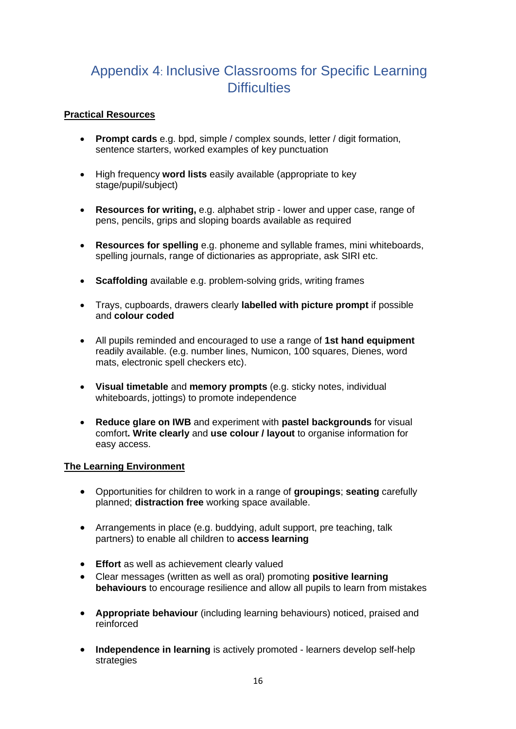# Appendix 4: Inclusive Classrooms for Specific Learning **Difficulties**

#### **Practical Resources**

- **Prompt cards** e.g. bpd, simple / complex sounds, letter / digit formation, sentence starters, worked examples of key punctuation
- High frequency **word lists** easily available (appropriate to key stage/pupil/subject)
- **Resources for writing,** e.g. alphabet strip lower and upper case, range of pens, pencils, grips and sloping boards available as required
- **Resources for spelling** e.g. phoneme and syllable frames, mini whiteboards, spelling journals, range of dictionaries as appropriate, ask SIRI etc.
- **Scaffolding** available e.g. problem-solving grids, writing frames
- Trays, cupboards, drawers clearly **labelled with picture prompt** if possible and **colour coded**
- All pupils reminded and encouraged to use a range of **1st hand equipment**  readily available. (e.g. number lines, Numicon, 100 squares, Dienes, word mats, electronic spell checkers etc).
- **Visual timetable** and **memory prompts** (e.g. sticky notes, individual whiteboards, jottings) to promote independence
- **Reduce glare on IWB** and experiment with **pastel backgrounds** for visual comfort**. Write clearly** and **use colour / layout** to organise information for easy access.

#### **The Learning Environment**

- Opportunities for children to work in a range of **groupings**; **seating** carefully planned; **distraction free** working space available.
- Arrangements in place (e.g. buddying, adult support, pre teaching, talk partners) to enable all children to **access learning**
- **Effort** as well as achievement clearly valued
- Clear messages (written as well as oral) promoting **positive learning behaviours** to encourage resilience and allow all pupils to learn from mistakes
- **Appropriate behaviour** (including learning behaviours) noticed, praised and reinforced
- **Independence in learning** is actively promoted learners develop self-help strategies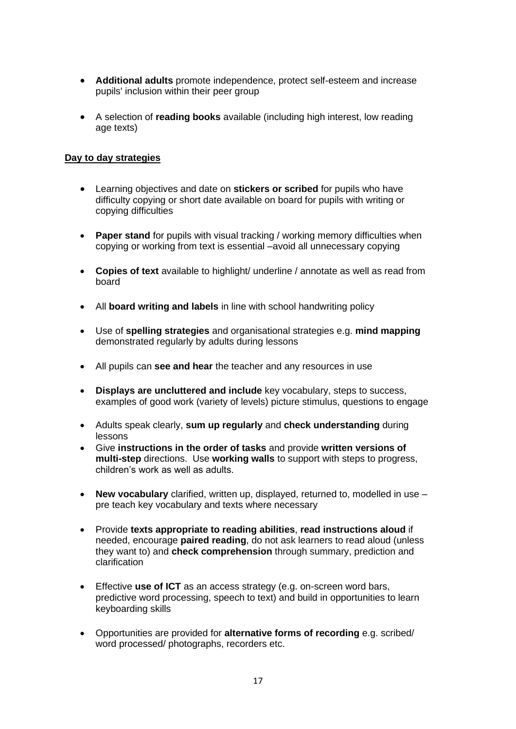- **Additional adults** promote independence, protect self-esteem and increase pupils' inclusion within their peer group
- A selection of **reading books** available (including high interest, low reading age texts)

#### **Day to day strategies**

- Learning objectives and date on **stickers or scribed** for pupils who have difficulty copying or short date available on board for pupils with writing or copying difficulties
- **Paper stand** for pupils with visual tracking / working memory difficulties when copying or working from text is essential –avoid all unnecessary copying
- **Copies of text** available to highlight/ underline / annotate as well as read from board
- All **board writing and labels** in line with school handwriting policy
- Use of **spelling strategies** and organisational strategies e.g. **mind mapping**  demonstrated regularly by adults during lessons
- All pupils can **see and hear** the teacher and any resources in use
- **Displays are uncluttered and include** key vocabulary, steps to success, examples of good work (variety of levels) picture stimulus, questions to engage
- Adults speak clearly, **sum up regularly** and **check understanding** during lessons
- Give **instructions in the order of tasks** and provide **written versions of multi-step** directions. Use **working walls** to support with steps to progress, children's work as well as adults.
- **New vocabulary** clarified, written up, displayed, returned to, modelled in use pre teach key vocabulary and texts where necessary
- Provide **texts appropriate to reading abilities**, **read instructions aloud** if needed, encourage **paired reading**, do not ask learners to read aloud (unless they want to) and **check comprehension** through summary, prediction and clarification
- Effective **use of ICT** as an access strategy (e.g. on-screen word bars, predictive word processing, speech to text) and build in opportunities to learn keyboarding skills
- Opportunities are provided for **alternative forms of recording** e.g. scribed/ word processed/ photographs, recorders etc.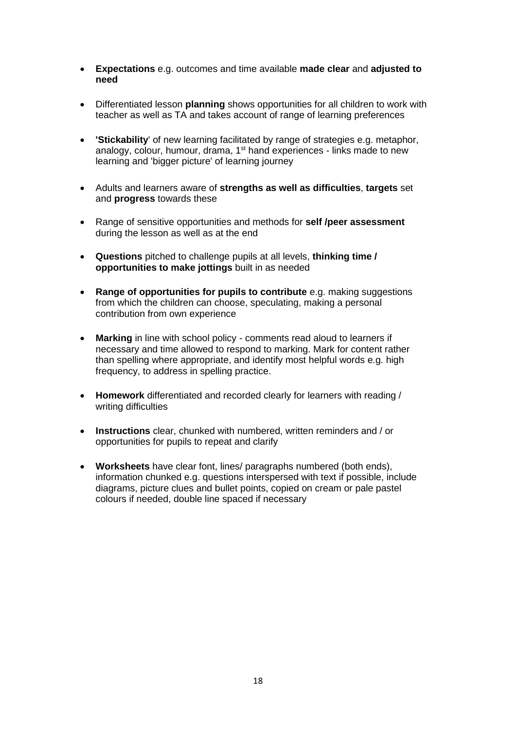- **Expectations** e.g. outcomes and time available **made clear** and **adjusted to need**
- Differentiated lesson **planning** shows opportunities for all children to work with teacher as well as TA and takes account of range of learning preferences
- **'Stickability**' of new learning facilitated by range of strategies e.g. metaphor, analogy, colour, humour, drama, 1<sup>st</sup> hand experiences - links made to new learning and 'bigger picture' of learning journey
- Adults and learners aware of **strengths as well as difficulties**, **targets** set and **progress** towards these
- Range of sensitive opportunities and methods for **self /peer assessment**  during the lesson as well as at the end
- **Questions** pitched to challenge pupils at all levels, **thinking time / opportunities to make jottings** built in as needed
- **Range of opportunities for pupils to contribute** e.g. making suggestions from which the children can choose, speculating, making a personal contribution from own experience
- **Marking** in line with school policy comments read aloud to learners if necessary and time allowed to respond to marking. Mark for content rather than spelling where appropriate, and identify most helpful words e.g. high frequency, to address in spelling practice.
- **Homework** differentiated and recorded clearly for learners with reading / writing difficulties
- **Instructions** clear, chunked with numbered, written reminders and / or opportunities for pupils to repeat and clarify
- **Worksheets** have clear font, lines/ paragraphs numbered (both ends), information chunked e.g. questions interspersed with text if possible, include diagrams, picture clues and bullet points, copied on cream or pale pastel colours if needed, double line spaced if necessary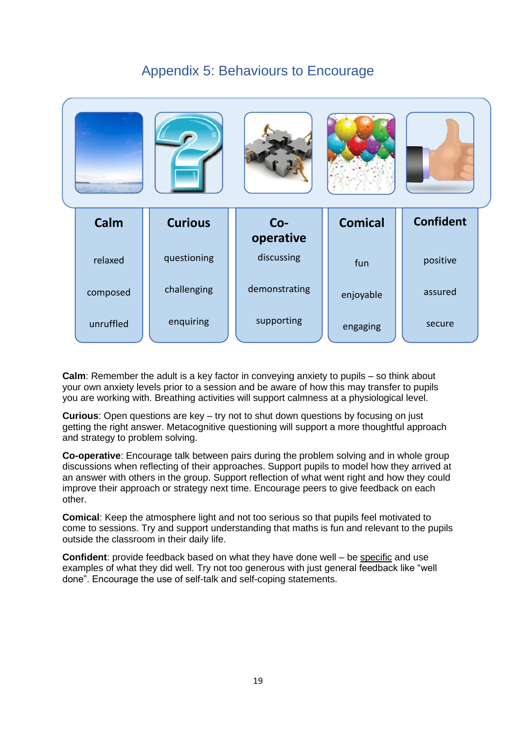# Appendix 5: Behaviours to Encourage



**Calm**: Remember the adult is a key factor in conveying anxiety to pupils – so think about your own anxiety levels prior to a session and be aware of how this may transfer to pupils you are working with. Breathing activities will support calmness at a physiological level.

**Curious**: Open questions are key – try not to shut down questions by focusing on just getting the right answer. Metacognitive questioning will support a more thoughtful approach and strategy to problem solving.

**Co-operative**: Encourage talk between pairs during the problem solving and in whole group discussions when reflecting of their approaches. Support pupils to model how they arrived at an answer with others in the group. Support reflection of what went right and how they could improve their approach or strategy next time. Encourage peers to give feedback on each other.

**Comical**: Keep the atmosphere light and not too serious so that pupils feel motivated to come to sessions. Try and support understanding that maths is fun and relevant to the pupils outside the classroom in their daily life.

**Confident**: provide feedback based on what they have done well – be specific and use examples of what they did well. Try not too generous with just general feedback like "well done". Encourage the use of self-talk and self-coping statements.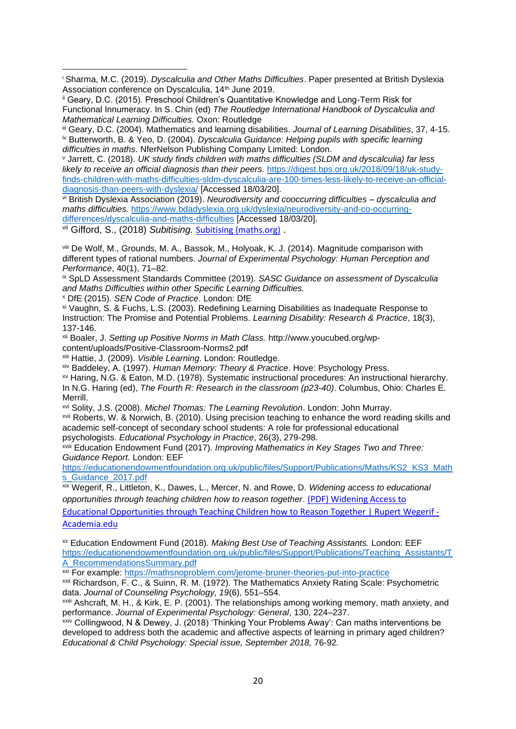<sup>i</sup> Sharma, M.C. (2019). *Dyscalculia and Other Maths Difficulties*. Paper presented at British Dyslexia Association conference on Dyscalculia, 14<sup>th</sup> June 2019.

ii Geary, D.C. (2015). Preschool Children's Quantitative Knowledge and Long-Term Risk for Functional Innumeracy. In S. Chin (ed) *The Routledge International Handbook of Dyscalculia and Mathematical Learning Difficulties.* Oxon: Routledge

iii Geary, D.C. (2004). Mathematics and learning disabilities. *Journal of Learning Disabilities*, 37, 4-15. iv Butterworth, B. & Yeo, D. (2004). *Dyscalculia Guidance: Helping pupils with specific learning difficulties in maths*. NferNelson Publishing Company Limited: London.

<sup>v</sup> Jarrett, C. (2018). *UK study finds children with maths difficulties (SLDM and dyscalculia) far less likely to receive an official diagnosis than their peers.* [https://digest.bps.org.uk/2018/09/18/uk-study](https://digest.bps.org.uk/2018/09/18/uk-study-finds-children-with-maths-difficulties-sldm-dyscalculia-are-100-times-less-likely-to-receive-an-official-diagnosis-than-peers-with-dyslexia/)[finds-children-with-maths-difficulties-sldm-dyscalculia-are-100-times-less-likely-to-receive-an-official](https://digest.bps.org.uk/2018/09/18/uk-study-finds-children-with-maths-difficulties-sldm-dyscalculia-are-100-times-less-likely-to-receive-an-official-diagnosis-than-peers-with-dyslexia/)[diagnosis-than-peers-with-dyslexia/](https://digest.bps.org.uk/2018/09/18/uk-study-finds-children-with-maths-difficulties-sldm-dyscalculia-are-100-times-less-likely-to-receive-an-official-diagnosis-than-peers-with-dyslexia/) [Accessed 18/03/20].

vi British Dyslexia Association (2019). *Neurodiversity and cooccurring difficulties – dyscalculia and maths difficulties.* [https://www.bdadyslexia.org.uk/dyslexia/neurodiversity-and-co-occurring](https://www.bdadyslexia.org.uk/dyslexia/neurodiversity-and-co-occurring-differences/dyscalculia-and-maths-difficulties)[differences/dyscalculia-and-maths-difficulties](https://www.bdadyslexia.org.uk/dyslexia/neurodiversity-and-co-occurring-differences/dyscalculia-and-maths-difficulties) [Accessed 18/03/20].

vii Gifford, S., (2018) *Subitising.* [Subitising \(maths.org\)](https://nrich.maths.org/14004#:~:text=Article%20by%20Dr%20Sue%20Gifford%20University%20of%20Roehampton,and%20it%20develops%20from%20a%20very%20early%20age.) .

viii De Wolf, M., Grounds, M. A., Bassok, M., Holyoak, K. J. (2014). Magnitude comparison with different types of rational numbers. *Journal of Experimental Psychology: Human Perception and Performance*, 40(1), 71–82.

ix SpLD Assessment Standards Committee (2019). *SASC Guidance on assessment of Dyscalculia and Maths Difficulties within other Specific Learning Difficulties.*

<sup>x</sup> DfE (2015). *SEN Code of Practice*. London: DfE

xi Vaughn, S. & Fuchs, L.S. (2003). Redefining Learning Disabilities as Inadequate Response to Instruction: The Promise and Potential Problems. *Learning Disability: Research & Practice*, 18(3), 137-146.

xii Boaler, J. *Setting up Positive Norms in Math Class.* http://www.youcubed.org/wpcontent/uploads/Positive-Classroom-Norms2.pdf

xiii Hattie, J. (2009). *Visible Learning*. London: Routledge.

xiv Baddeley, A. (1997). *Human Memory: Theory & Practice*. Hove: Psychology Press.

xv Haring, N.G. & Eaton, M.D. (1978). Systematic instructional procedures: An instructional hierarchy*.*  In N.G. Haring (ed), *The Fourth R: Research in the classroom (p23-40)*. Columbus, Ohio: Charles E. Merrill.

xvi Solity, J.S. (2008). *Michel Thomas: The Learning Revolution*. London: John Murray. xvii Roberts, W. & Norwich, B. (2010). Using precision teaching to enhance the word reading skills and

academic self-concept of secondary school students: A role for professional educational psychologists. *Educational Psychology in Practice*, 26(3), 279-298.

xviii Education Endowment Fund (2017). *Improving Mathematics in Key Stages Two and Three: Guidance Report.* London: EEF

[https://educationendowmentfoundation.org.uk/public/files/Support/Publications/Maths/KS2\\_KS3\\_Math](https://educationendowmentfoundation.org.uk/public/files/Support/Publications/Maths/KS2_KS3_Maths_Guidance_2017.pdf) [s\\_Guidance\\_2017.pdf](https://educationendowmentfoundation.org.uk/public/files/Support/Publications/Maths/KS2_KS3_Maths_Guidance_2017.pdf)

xix Wegerif, R., Littleton, K., Dawes, L., Mercer, N. and Rowe, D. *Widening access to educational opportunities through teaching children how to reason together*. [\(PDF\) Widening Access to](https://www.academia.edu/5420516/Widening_Access_to_Educational_Opportunities_through_Teaching_Children_how_to_Reason_Together) 

[Educational Opportunities through Teaching Children how to Reason Together | Rupert Wegerif -](https://www.academia.edu/5420516/Widening_Access_to_Educational_Opportunities_through_Teaching_Children_how_to_Reason_Together) [Academia.edu](https://www.academia.edu/5420516/Widening_Access_to_Educational_Opportunities_through_Teaching_Children_how_to_Reason_Together)

xx Education Endowment Fund (2018). *Making Best Use of Teaching Assistants.* London: EEF [https://educationendowmentfoundation.org.uk/public/files/Support/Publications/Teaching\\_Assistants/T](https://educationendowmentfoundation.org.uk/public/files/Support/Publications/Teaching_Assistants/TA_RecommendationsSummary.pdf) [A\\_RecommendationsSummary.pdf](https://educationendowmentfoundation.org.uk/public/files/Support/Publications/Teaching_Assistants/TA_RecommendationsSummary.pdf)

xxi For example: [https://mathsnoproblem.com/jerome-bruner-theories-put-into-practice](https://mathsnoproblem.com/jerome-bruner-theories-put-into-practice/)

xxii Richardson, F. C., & Suinn, R. M. (1972). The Mathematics Anxiety Rating Scale: Psychometric data. *Journal of Counseling Psychology, 19*(6), 551–554.

xxiii Ashcraft, M. H., & Kirk, E. P. (2001). The relationships among working memory, math anxiety, and performance. *Journal of Experimental Psychology: General*, 130, 224–237.

xxiv Collingwood, N & Dewey, J. (2018) 'Thinking Your Problems Away': Can maths interventions be developed to address both the academic and affective aspects of learning in primary aged children? *Educational & Child Psychology: Special issue, September 2018,* 76-92*.*